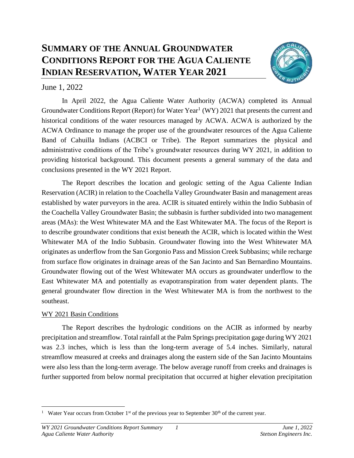# **SUMMARY OF THE ANNUAL GROUNDWATER CONDITIONS REPORT FOR THE AGUA CALIENTE INDIAN RESERVATION, WATER YEAR 2021**



## June 1, 2022

In April 2022, the Agua Caliente Water Authority (ACWA) completed its Annual Groundwater Conditions Report (Report) for Water Year<sup>1</sup> (WY) 2021 that presents the current and historical conditions of the water resources managed by ACWA. ACWA is authorized by the ACWA Ordinance to manage the proper use of the groundwater resources of the Agua Caliente Band of Cahuilla Indians (ACBCI or Tribe). The Report summarizes the physical and administrative conditions of the Tribe's groundwater resources during WY 2021, in addition to providing historical background. This document presents a general summary of the data and conclusions presented in the WY 2021 Report.

The Report describes the location and geologic setting of the Agua Caliente Indian Reservation (ACIR) in relation to the Coachella Valley Groundwater Basin and management areas established by water purveyors in the area. ACIR is situated entirely within the Indio Subbasin of the Coachella Valley Groundwater Basin; the subbasin is further subdivided into two management areas (MAs): the West Whitewater MA and the East Whitewater MA. The focus of the Report is to describe groundwater conditions that exist beneath the ACIR, which is located within the West Whitewater MA of the Indio Subbasin. Groundwater flowing into the West Whitewater MA originates as underflow from the San Gorgonio Pass and Mission Creek Subbasins; while recharge from surface flow originates in drainage areas of the San Jacinto and San Bernardino Mountains. Groundwater flowing out of the West Whitewater MA occurs as groundwater underflow to the East Whitewater MA and potentially as evapotranspiration from water dependent plants. The general groundwater flow direction in the West Whitewater MA is from the northwest to the southeast.

## WY 2021 Basin Conditions

The Report describes the hydrologic conditions on the ACIR as informed by nearby precipitation and streamflow. Total rainfall at the Palm Springs precipitation gage during WY 2021 was 2.3 inches, which is less than the long-term average of 5.4 inches. Similarly, natural streamflow measured at creeks and drainages along the eastern side of the San Jacinto Mountains were also less than the long-term average. The below average runoff from creeks and drainages is further supported from below normal precipitation that occurred at higher elevation precipitation

<sup>&</sup>lt;sup>1</sup> Water Year occurs from October 1<sup>st</sup> of the previous year to September 30<sup>th</sup> of the current year.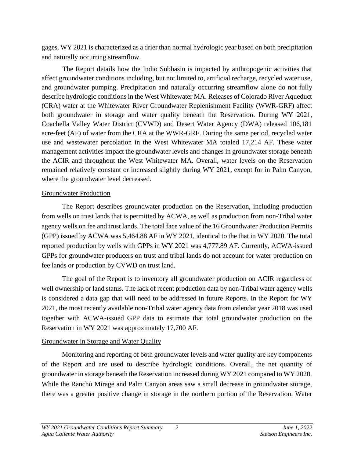gages. WY 2021 is characterized as a drier than normal hydrologic year based on both precipitation and naturally occurring streamflow.

The Report details how the Indio Subbasin is impacted by anthropogenic activities that affect groundwater conditions including, but not limited to, artificial recharge, recycled water use, and groundwater pumping. Precipitation and naturally occurring streamflow alone do not fully describe hydrologic conditions in the West Whitewater MA. Releases of Colorado River Aqueduct (CRA) water at the Whitewater River Groundwater Replenishment Facility (WWR-GRF) affect both groundwater in storage and water quality beneath the Reservation. During WY 2021, Coachella Valley Water District (CVWD) and Desert Water Agency (DWA) released 106,181 acre-feet (AF) of water from the CRA at the WWR-GRF. During the same period, recycled water use and wastewater percolation in the West Whitewater MA totaled 17,214 AF. These water management activities impact the groundwater levels and changes in groundwater storage beneath the ACIR and throughout the West Whitewater MA. Overall, water levels on the Reservation remained relatively constant or increased slightly during WY 2021, except for in Palm Canyon, where the groundwater level decreased.

#### Groundwater Production

The Report describes groundwater production on the Reservation, including production from wells on trust lands that is permitted by ACWA, as well as production from non-Tribal water agency wells on fee and trust lands. The total face value of the 16 Groundwater Production Permits (GPP) issued by ACWA was 5,464.88 AF in WY 2021, identical to the that in WY 2020. The total reported production by wells with GPPs in WY 2021 was 4,777.89 AF. Currently, ACWA-issued GPPs for groundwater producers on trust and tribal lands do not account for water production on fee lands or production by CVWD on trust land.

The goal of the Report is to inventory all groundwater production on ACIR regardless of well ownership or land status. The lack of recent production data by non-Tribal water agency wells is considered a data gap that will need to be addressed in future Reports. In the Report for WY 2021, the most recently available non-Tribal water agency data from calendar year 2018 was used together with ACWA-issued GPP data to estimate that total groundwater production on the Reservation in WY 2021 was approximately 17,700 AF.

## Groundwater in Storage and Water Quality

Monitoring and reporting of both groundwater levels and water quality are key components of the Report and are used to describe hydrologic conditions. Overall, the net quantity of groundwater in storage beneath the Reservation increased during WY 2021 compared to WY 2020. While the Rancho Mirage and Palm Canyon areas saw a small decrease in groundwater storage, there was a greater positive change in storage in the northern portion of the Reservation. Water